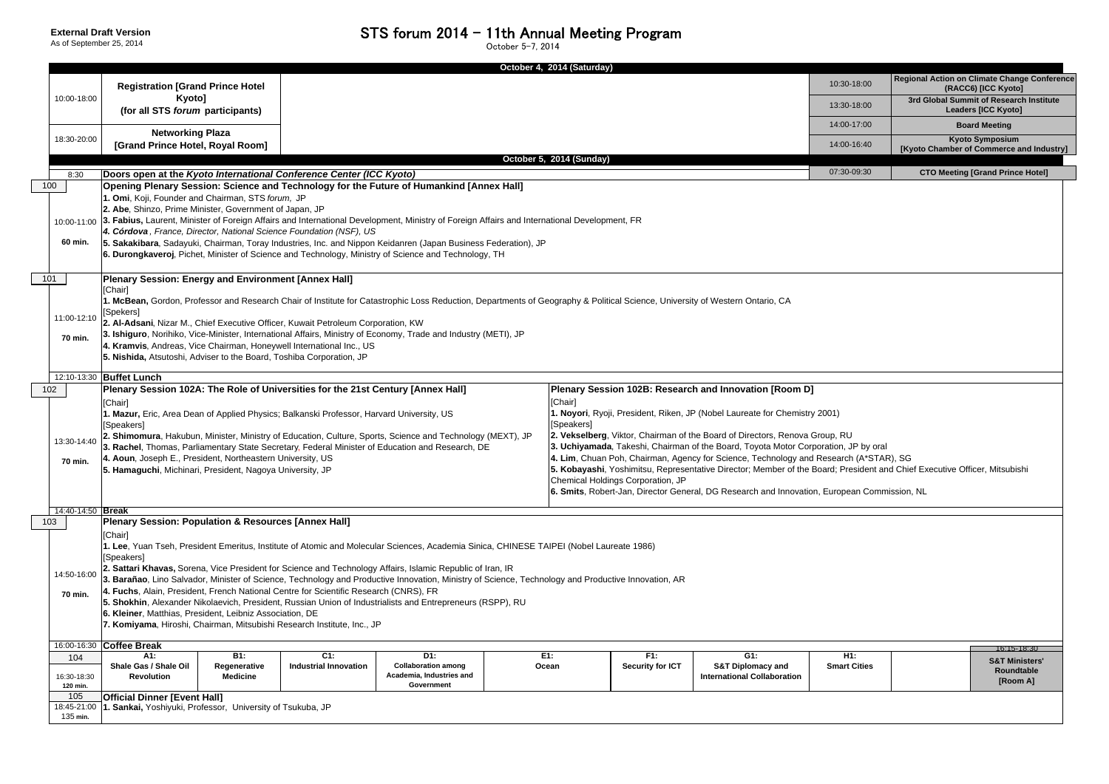|                                |                                                                                                                                                                                                                                                                                                                                                                                                                                                                                                                                                                                                                                                                                                                                                                                                                                                                                                                                                                                                                                                                                                        |                                        |                                                                             | October 4, 2014 (Saturday) |                                |                                                                           |                            |                                                                                                              |  |  |  |
|--------------------------------|--------------------------------------------------------------------------------------------------------------------------------------------------------------------------------------------------------------------------------------------------------------------------------------------------------------------------------------------------------------------------------------------------------------------------------------------------------------------------------------------------------------------------------------------------------------------------------------------------------------------------------------------------------------------------------------------------------------------------------------------------------------------------------------------------------------------------------------------------------------------------------------------------------------------------------------------------------------------------------------------------------------------------------------------------------------------------------------------------------|----------------------------------------|-----------------------------------------------------------------------------|----------------------------|--------------------------------|---------------------------------------------------------------------------|----------------------------|--------------------------------------------------------------------------------------------------------------|--|--|--|
| 10:00-18:00                    | <b>Registration [Grand Prince Hotel</b><br>Kyoto]                                                                                                                                                                                                                                                                                                                                                                                                                                                                                                                                                                                                                                                                                                                                                                                                                                                                                                                                                                                                                                                      |                                        |                                                                             |                            |                                |                                                                           | 10:30-18:00                | Regional Action on Climate Change Conferen<br>(RACC6) [ICC Kyoto]<br>3rd Global Summit of Research Institute |  |  |  |
|                                | (for all STS forum participants)                                                                                                                                                                                                                                                                                                                                                                                                                                                                                                                                                                                                                                                                                                                                                                                                                                                                                                                                                                                                                                                                       |                                        | 13:30-18:00                                                                 | <b>Leaders [ICC Kyoto]</b> |                                |                                                                           |                            |                                                                                                              |  |  |  |
|                                | <b>Networking Plaza</b>                                                                                                                                                                                                                                                                                                                                                                                                                                                                                                                                                                                                                                                                                                                                                                                                                                                                                                                                                                                                                                                                                |                                        |                                                                             |                            |                                |                                                                           | 14:00-17:00                | <b>Board Meeting</b><br><b>Kyoto Symposium</b>                                                               |  |  |  |
| 18:30-20:00                    | [Grand Prince Hotel, Royal Room]                                                                                                                                                                                                                                                                                                                                                                                                                                                                                                                                                                                                                                                                                                                                                                                                                                                                                                                                                                                                                                                                       |                                        |                                                                             |                            |                                |                                                                           |                            |                                                                                                              |  |  |  |
|                                | October 5, 2014 (Sunday)<br><b>CTO Meeting [Grand Prince Hotel]</b><br>07:30-09:30                                                                                                                                                                                                                                                                                                                                                                                                                                                                                                                                                                                                                                                                                                                                                                                                                                                                                                                                                                                                                     |                                        |                                                                             |                            |                                |                                                                           |                            |                                                                                                              |  |  |  |
| 8:30<br>100                    | Doors open at the Kyoto International Conference Center (ICC Kyoto)                                                                                                                                                                                                                                                                                                                                                                                                                                                                                                                                                                                                                                                                                                                                                                                                                                                                                                                                                                                                                                    |                                        |                                                                             |                            |                                |                                                                           |                            |                                                                                                              |  |  |  |
| 60 min.                        | Opening Plenary Session: Science and Technology for the Future of Humankind [Annex Hall]<br>1. Omi, Koji, Founder and Chairman, STS forum, JP<br>2. Abe, Shinzo, Prime Minister, Government of Japan, JP<br>10:00-11:00 3. Fabius, Laurent, Minister of Foreign Affairs and International Development, Ministry of Foreign Affairs and International Development, FR<br>4. Córdova, France, Director, National Science Foundation (NSF), US<br>5. Sakakibara, Sadayuki, Chairman, Toray Industries, Inc. and Nippon Keidanren (Japan Business Federation), JP<br>6. Durongkaveroj, Pichet, Minister of Science and Technology, Ministry of Science and Technology, TH                                                                                                                                                                                                                                                                                                                                                                                                                                  |                                        |                                                                             |                            |                                |                                                                           |                            |                                                                                                              |  |  |  |
| 101<br>11:00-12:10<br>70 min.  | Plenary Session: Energy and Environment [Annex Hall]<br>[Chair]<br>1. McBean, Gordon, Professor and Research Chair of Institute for Catastrophic Loss Reduction, Departments of Geography & Political Science, University of Western Ontario, CA<br>[Spekers]<br>2. Al-Adsani, Nizar M., Chief Executive Officer, Kuwait Petroleum Corporation, KW<br>3. Ishiguro, Norihiko, Vice-Minister, International Affairs, Ministry of Economy, Trade and Industry (METI), JP<br>4. Kramvis, Andreas, Vice Chairman, Honeywell International Inc., US<br>5. Nishida, Atsutoshi, Adviser to the Board, Toshiba Corporation, JP                                                                                                                                                                                                                                                                                                                                                                                                                                                                                  |                                        |                                                                             |                            |                                |                                                                           |                            |                                                                                                              |  |  |  |
| 12:10-13:30                    | <b>Buffet Lunch</b>                                                                                                                                                                                                                                                                                                                                                                                                                                                                                                                                                                                                                                                                                                                                                                                                                                                                                                                                                                                                                                                                                    |                                        |                                                                             |                            |                                |                                                                           |                            |                                                                                                              |  |  |  |
| 102                            | Plenary Session 102A: The Role of Universities for the 21st Century [Annex Hall]                                                                                                                                                                                                                                                                                                                                                                                                                                                                                                                                                                                                                                                                                                                                                                                                                                                                                                                                                                                                                       |                                        |                                                                             |                            |                                | Plenary Session 102B: Research and Innovation [Room D]                    |                            |                                                                                                              |  |  |  |
| 13:30-14:40<br>70 min.         | [Chair]<br>[Chair]<br>I. Noyori, Ryoji, President, Riken, JP (Nobel Laureate for Chemistry 2001)<br>1. Mazur, Eric, Area Dean of Applied Physics; Balkanski Professor, Harvard University, US<br>[Speakers]<br>[Speakers]<br>2. Vekselberg, Viktor, Chairman of the Board of Directors, Renova Group, RU<br>2. Shimomura, Hakubun, Minister, Ministry of Education, Culture, Sports, Science and Technology (MEXT), JP<br>3. Uchiyamada, Takeshi, Chairman of the Board, Toyota Motor Corporation, JP by oral<br>3. Rachel, Thomas, Parliamentary State Secretary, Federal Minister of Education and Research, DE<br>4. Lim, Chuan Poh, Chairman, Agency for Science, Technology and Research (A*STAR), SG<br>4. Aoun, Joseph E., President, Northeastern University, US<br>5. Kobayashi, Yoshimitsu, Representative Director; Member of the Board; President and Chief Executive Officer, Mitsubishi<br>5. Hamaguchi, Michinari, President, Nagoya University, JP<br>Chemical Holdings Corporation, JP<br>6. Smits, Robert-Jan, Director General, DG Research and Innovation, European Commission, NL |                                        |                                                                             |                            |                                |                                                                           |                            |                                                                                                              |  |  |  |
| 14:40-14:50 Break              |                                                                                                                                                                                                                                                                                                                                                                                                                                                                                                                                                                                                                                                                                                                                                                                                                                                                                                                                                                                                                                                                                                        |                                        |                                                                             |                            |                                |                                                                           |                            |                                                                                                              |  |  |  |
| 103<br>70 min.                 | Plenary Session: Population & Resources [Annex Hall]<br>[Chair]<br>1. Lee, Yuan Tseh, President Emeritus, Institute of Atomic and Molecular Sciences, Academia Sinica, CHINESE TAIPEI (Nobel Laureate 1986)<br>[Speakers]<br>2. Sattari Khavas, Sorena, Vice President for Science and Technology Affairs, Islamic Republic of Iran, IR<br>14:50-16:00<br>3. Barañao, Lino Salvador, Minister of Science, Technology and Productive Innovation, Ministry of Science, Technology and Productive Innovation, AR<br>4. Fuchs, Alain, President, French National Centre for Scientific Research (CNRS), FR<br>5. Shokhin, Alexander Nikolaevich, President, Russian Union of Industrialists and Entrepreneurs (RSPP), RU<br>6. Kleiner, Matthias, President, Leibniz Association, DE<br>7. Komiyama, Hiroshi, Chairman, Mitsubishi Research Institute, Inc., JP                                                                                                                                                                                                                                            |                                        |                                                                             |                            |                                |                                                                           |                            |                                                                                                              |  |  |  |
| 16:00-16:30                    | <b>Coffee Break</b><br>16:15-18:30                                                                                                                                                                                                                                                                                                                                                                                                                                                                                                                                                                                                                                                                                                                                                                                                                                                                                                                                                                                                                                                                     |                                        |                                                                             |                            |                                |                                                                           |                            |                                                                                                              |  |  |  |
| 104<br>16:30-18:30<br>120 min. | A1:<br><b>B1:</b><br>Shale Gas / Shale Oil<br>Regenerative<br><b>Medicine</b><br><b>Revolution</b>                                                                                                                                                                                                                                                                                                                                                                                                                                                                                                                                                                                                                                                                                                                                                                                                                                                                                                                                                                                                     | $C1$ :<br><b>Industrial Innovation</b> | D1:<br><b>Collaboration among</b><br>Academia, Industries and<br>Government | E1:<br>Ocean               | F1:<br><b>Security for ICT</b> | G1:<br><b>S&amp;T Diplomacy and</b><br><b>International Collaboration</b> | H1:<br><b>Smart Cities</b> | <b>S&amp;T Ministers'</b><br>Roundtable<br>[Room A]                                                          |  |  |  |
| 105<br>18:45-21:00<br>135 min. | Official Dinner [Event Hall]<br>1. Sankai, Yoshiyuki, Professor, University of Tsukuba, JP                                                                                                                                                                                                                                                                                                                                                                                                                                                                                                                                                                                                                                                                                                                                                                                                                                                                                                                                                                                                             |                                        |                                                                             |                            |                                |                                                                           |                            |                                                                                                              |  |  |  |

| 10:30-18:00                                                              |                                                       | Regional Action on Climate Change Conference<br>(RACC6) [ICC Kyoto] |  |
|--------------------------------------------------------------------------|-------------------------------------------------------|---------------------------------------------------------------------|--|
| 13:30-18:00                                                              |                                                       | 3rd Global Summit of Research Institute<br>Leaders [ICC Kyoto]      |  |
| 14:00-17:00                                                              |                                                       | <b>Board Meeting</b>                                                |  |
| 14:00-16:40                                                              |                                                       | <b>Kyoto Symposium</b><br>[Kyoto Chamber of Commerce and Industry]  |  |
|                                                                          |                                                       |                                                                     |  |
| 07:30-09:30<br>01)<br>up, RU<br>ation, JP by oral<br>search (A*STAR), SG | rd; President and Chief Executive Officer, Mitsubishi | <b>CTO Meeting [Grand Prince Hotel]</b>                             |  |
| uropean Commission, NL                                                   |                                                       |                                                                     |  |
|                                                                          |                                                       |                                                                     |  |
| H1:                                                                      |                                                       | 16:15-18:30                                                         |  |
| <b>Smart Cities</b>                                                      |                                                       | <b>S&amp;T Ministers'</b><br>Roundtable<br>[Room A]                 |  |
|                                                                          |                                                       |                                                                     |  |

## STS forum 2014 – 11th Annual Meeting Program  $\frac{\text{October 5-7, 2014}}{}$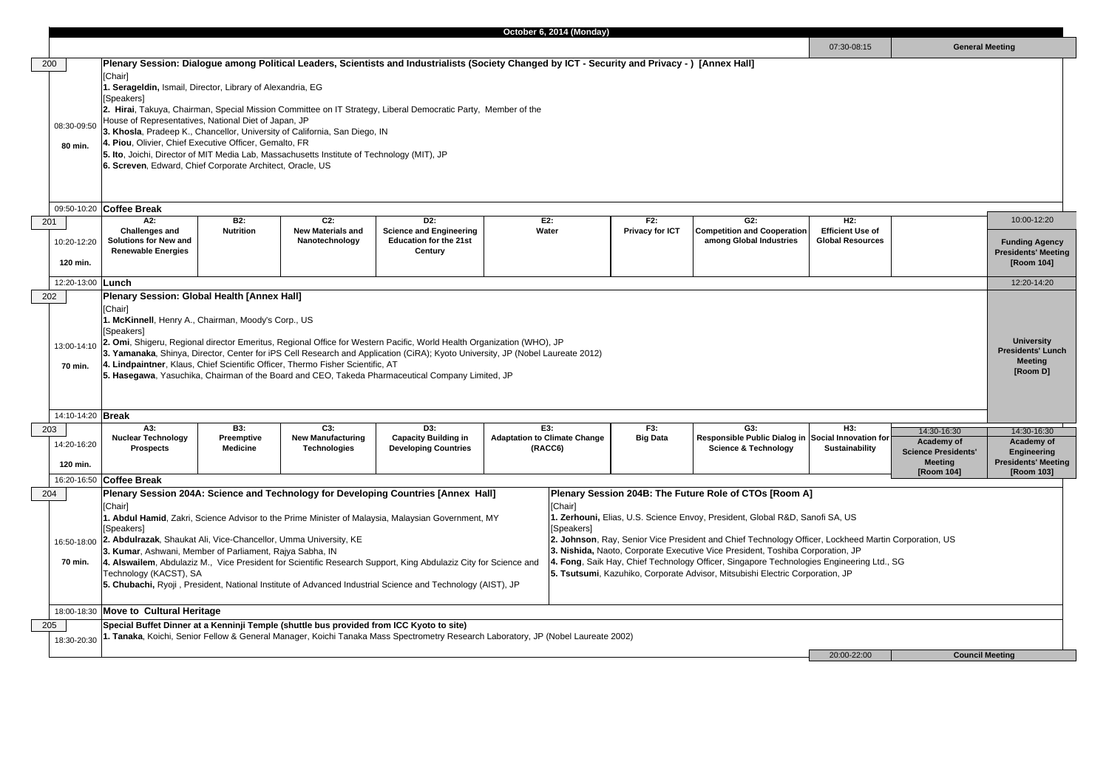| 10:00-12:20<br>H2:<br><b>Efficient Use of</b><br><b>Funding Agency</b><br><b>Presidents' Meeting</b><br>[Room 104]<br>12:20-14:20<br><b>University</b><br><b>Presidents' Lunch</b><br><b>Meeting</b><br>[Room D]<br>H3:<br>14:30-16:30<br>14:30-16:30<br>cial Innovation for<br><b>Academy of</b><br>Academy of<br><b>Sustainability</b><br><b>Science Presidents'</b><br><b>Engineering</b><br><b>Presidents' Meeting</b><br><b>Meeting</b><br>[Room 104]<br>[Room 103]<br>20:00-22:00<br><b>Council Meeting</b> |                                                                                                    |  |  |  |  |  |  |  |  |
|-------------------------------------------------------------------------------------------------------------------------------------------------------------------------------------------------------------------------------------------------------------------------------------------------------------------------------------------------------------------------------------------------------------------------------------------------------------------------------------------------------------------|----------------------------------------------------------------------------------------------------|--|--|--|--|--|--|--|--|
|                                                                                                                                                                                                                                                                                                                                                                                                                                                                                                                   |                                                                                                    |  |  |  |  |  |  |  |  |
|                                                                                                                                                                                                                                                                                                                                                                                                                                                                                                                   | <b>Slobal Resources</b>                                                                            |  |  |  |  |  |  |  |  |
|                                                                                                                                                                                                                                                                                                                                                                                                                                                                                                                   |                                                                                                    |  |  |  |  |  |  |  |  |
|                                                                                                                                                                                                                                                                                                                                                                                                                                                                                                                   |                                                                                                    |  |  |  |  |  |  |  |  |
|                                                                                                                                                                                                                                                                                                                                                                                                                                                                                                                   |                                                                                                    |  |  |  |  |  |  |  |  |
|                                                                                                                                                                                                                                                                                                                                                                                                                                                                                                                   |                                                                                                    |  |  |  |  |  |  |  |  |
|                                                                                                                                                                                                                                                                                                                                                                                                                                                                                                                   | fi SA, US<br>, Lockheed Martin Corporation, US<br>oration, JP<br>Engineering Ltd., SG<br>ation, JP |  |  |  |  |  |  |  |  |
|                                                                                                                                                                                                                                                                                                                                                                                                                                                                                                                   |                                                                                                    |  |  |  |  |  |  |  |  |

|     |                                |                                                                                                                                                                                                                                                                                                                                                                                                                                                                                                                                                                                                                                                                                                                                                                                                                                                                                                                                                                                                                                                                                                                                                            |                                                    |                                                        |                                                                                                                                        |  | October 6, 2014 (Monday)                              |                               |                                                                                              |                                                           |                                                                                         |                                                                                 |
|-----|--------------------------------|------------------------------------------------------------------------------------------------------------------------------------------------------------------------------------------------------------------------------------------------------------------------------------------------------------------------------------------------------------------------------------------------------------------------------------------------------------------------------------------------------------------------------------------------------------------------------------------------------------------------------------------------------------------------------------------------------------------------------------------------------------------------------------------------------------------------------------------------------------------------------------------------------------------------------------------------------------------------------------------------------------------------------------------------------------------------------------------------------------------------------------------------------------|----------------------------------------------------|--------------------------------------------------------|----------------------------------------------------------------------------------------------------------------------------------------|--|-------------------------------------------------------|-------------------------------|----------------------------------------------------------------------------------------------|-----------------------------------------------------------|-----------------------------------------------------------------------------------------|---------------------------------------------------------------------------------|
|     |                                |                                                                                                                                                                                                                                                                                                                                                                                                                                                                                                                                                                                                                                                                                                                                                                                                                                                                                                                                                                                                                                                                                                                                                            |                                                    |                                                        |                                                                                                                                        |  |                                                       |                               |                                                                                              | 07:30-08:15                                               | <b>General Meeting</b>                                                                  |                                                                                 |
| 200 |                                |                                                                                                                                                                                                                                                                                                                                                                                                                                                                                                                                                                                                                                                                                                                                                                                                                                                                                                                                                                                                                                                                                                                                                            |                                                    |                                                        |                                                                                                                                        |  |                                                       |                               |                                                                                              |                                                           |                                                                                         |                                                                                 |
|     | 08:30-09:50<br>80 min.         | Plenary Session: Dialogue among Political Leaders, Scientists and Industrialists (Society Changed by ICT - Security and Privacy -) [Annex Hall]<br>[Chair]<br>. Serageldin, Ismail, Director, Library of Alexandria, EG<br>[Speakers]<br>2. Hirai, Takuya, Chairman, Special Mission Committee on IT Strategy, Liberal Democratic Party, Member of the<br>House of Representatives, National Diet of Japan, JP<br>3. Khosla, Pradeep K., Chancellor, University of California, San Diego, IN<br>4. Piou, Olivier, Chief Executive Officer, Gemalto, FR<br>5. Ito, Joichi, Director of MIT Media Lab, Massachusetts Institute of Technology (MIT), JP<br>6. Screven, Edward, Chief Corporate Architect, Oracle, US                                                                                                                                                                                                                                                                                                                                                                                                                                          |                                                    |                                                        |                                                                                                                                        |  |                                                       |                               |                                                                                              |                                                           |                                                                                         |                                                                                 |
|     |                                | 09:50-10:20 Coffee Break                                                                                                                                                                                                                                                                                                                                                                                                                                                                                                                                                                                                                                                                                                                                                                                                                                                                                                                                                                                                                                                                                                                                   |                                                    |                                                        |                                                                                                                                        |  |                                                       |                               |                                                                                              |                                                           |                                                                                         |                                                                                 |
|     | 201<br>10:20-12:20             | A2:<br><b>Challenges and</b><br><b>Solutions for New and</b><br><b>Renewable Energies</b>                                                                                                                                                                                                                                                                                                                                                                                                                                                                                                                                                                                                                                                                                                                                                                                                                                                                                                                                                                                                                                                                  | B2:<br><b>Nutrition</b>                            | $C2$ :<br><b>New Materials and</b><br>Nanotechnology   | D <sub>2</sub> :<br><b>Science and Engineering</b><br><b>Education for the 21st</b><br><b>Century</b>                                  |  | E2:<br>Water                                          | F2:<br><b>Privacy for ICT</b> | G2:<br><b>Competition and Cooperation</b><br>among Global Industries                         | H2:<br><b>Efficient Use of</b><br><b>Global Resources</b> |                                                                                         | 10:00-12:20<br><b>Funding Ager</b><br><b>Presidents' Mee</b>                    |
|     | 120 min.                       |                                                                                                                                                                                                                                                                                                                                                                                                                                                                                                                                                                                                                                                                                                                                                                                                                                                                                                                                                                                                                                                                                                                                                            |                                                    |                                                        |                                                                                                                                        |  |                                                       |                               |                                                                                              |                                                           |                                                                                         | [Room 104]                                                                      |
|     | 12:20-13:00 <b>Lunch</b>       |                                                                                                                                                                                                                                                                                                                                                                                                                                                                                                                                                                                                                                                                                                                                                                                                                                                                                                                                                                                                                                                                                                                                                            |                                                    |                                                        |                                                                                                                                        |  |                                                       |                               |                                                                                              |                                                           |                                                                                         | 12:20-14:20                                                                     |
|     | 13:00-14:10<br>70 min.         | [Chair]<br>. McKinnell, Henry A., Chairman, Moody's Corp., US<br>[Speakers]<br>2. Omi, Shigeru, Regional director Emeritus, Regional Office for Western Pacific, World Health Organization (WHO), JP<br>3. Yamanaka, Shinya, Director, Center for iPS Cell Research and Application (CiRA); Kyoto University, JP (Nobel Laureate 2012)<br>4. Lindpaintner, Klaus, Chief Scientific Officer, Thermo Fisher Scientific, AT<br>5. Hasegawa, Yasuchika, Chairman of the Board and CEO, Takeda Pharmaceutical Company Limited, JP                                                                                                                                                                                                                                                                                                                                                                                                                                                                                                                                                                                                                               |                                                    |                                                        |                                                                                                                                        |  |                                                       |                               | <b>University</b><br>Presidents' Lu<br><b>Meeting</b><br>[Room D]                            |                                                           |                                                                                         |                                                                                 |
|     | 14:10-14:20 Break              |                                                                                                                                                                                                                                                                                                                                                                                                                                                                                                                                                                                                                                                                                                                                                                                                                                                                                                                                                                                                                                                                                                                                                            |                                                    |                                                        |                                                                                                                                        |  |                                                       |                               |                                                                                              |                                                           |                                                                                         |                                                                                 |
|     | 203<br>14:20-16:20<br>120 min. | A3:<br><b>Nuclear Technology</b><br><b>Prospects</b>                                                                                                                                                                                                                                                                                                                                                                                                                                                                                                                                                                                                                                                                                                                                                                                                                                                                                                                                                                                                                                                                                                       | <b>B3:</b><br><b>Preemptive</b><br><b>Medicine</b> | C3:<br><b>New Manufacturing</b><br><b>Technologies</b> | D3:<br><b>Capacity Building in</b><br><b>Developing Countries</b>                                                                      |  | E3:<br><b>Adaptation to Climate Change</b><br>(RACC6) | F3:<br><b>Big Data</b>        | G3:<br>Responsible Public Dialog in Social Innovation for<br><b>Science &amp; Technology</b> | H3:<br><b>Sustainability</b>                              | 14:30-16:30<br>Academy of<br><b>Science Presidents'</b><br><b>Meeting</b><br>[Room 104] | 14:30-16:30<br>Academy o<br>Engineering<br><b>Presidents' Mee</b><br>[Room 103] |
|     |                                | 16:20-16:50 Coffee Break                                                                                                                                                                                                                                                                                                                                                                                                                                                                                                                                                                                                                                                                                                                                                                                                                                                                                                                                                                                                                                                                                                                                   |                                                    |                                                        |                                                                                                                                        |  |                                                       |                               |                                                                                              |                                                           |                                                                                         |                                                                                 |
| 204 | 16:50-18:00<br>70 min.         | Plenary Session 204A: Science and Technology for Developing Countries [Annex Hall]<br><b>Plenary Session 204B: The Future Role of CTOs [Room A]</b><br>[Chair]<br>[Chair]<br>. Zerhouni, Elias, U.S. Science Envoy, President, Global R&D, Sanofi SA, US<br>. Abdul Hamid, Zakri, Science Advisor to the Prime Minister of Malaysia, Malaysian Government, MY<br>[Speakers]<br>[Speakers]<br>2. Johnson, Ray, Senior Vice President and Chief Technology Officer, Lockheed Martin Corporation, US<br>2. Abdulrazak, Shaukat Ali, Vice-Chancellor, Umma University, KE<br>3. Nishida, Naoto, Corporate Executive Vice President, Toshiba Corporation, JP<br>3. Kumar, Ashwani, Member of Parliament, Rajya Sabha, IN<br>. Fong, Saik Hay, Chief Technology Officer, Singapore Technologies Engineering Ltd., SG<br>4. Alswailem, Abdulaziz M., Vice President for Scientific Research Support, King Abdulaziz City for Science and<br>5. Tsutsumi, Kazuhiko, Corporate Advisor, Mitsubishi Electric Corporation, JP<br>Technology (KACST), SA<br>5. Chubachi, Ryoji, President, National Institute of Advanced Industrial Science and Technology (AIST), JP |                                                    |                                                        |                                                                                                                                        |  |                                                       |                               |                                                                                              |                                                           |                                                                                         |                                                                                 |
|     |                                | 18:00-18:30 Move to Cultural Heritage                                                                                                                                                                                                                                                                                                                                                                                                                                                                                                                                                                                                                                                                                                                                                                                                                                                                                                                                                                                                                                                                                                                      |                                                    |                                                        |                                                                                                                                        |  |                                                       |                               |                                                                                              |                                                           |                                                                                         |                                                                                 |
|     | 205<br>18:30-20:30             | Special Buffet Dinner at a Kenninji Temple (shuttle bus provided from ICC Kyoto to site)                                                                                                                                                                                                                                                                                                                                                                                                                                                                                                                                                                                                                                                                                                                                                                                                                                                                                                                                                                                                                                                                   |                                                    |                                                        | <b>Tanaka</b> , Koichi, Senior Fellow & General Manager, Koichi Tanaka Mass Spectrometry Research Laboratory, JP (Nobel Laureate 2002) |  |                                                       |                               |                                                                                              | $20:00 - 22:00$                                           |                                                                                         | <b>Council Meeting</b>                                                          |

## **General Meeting**